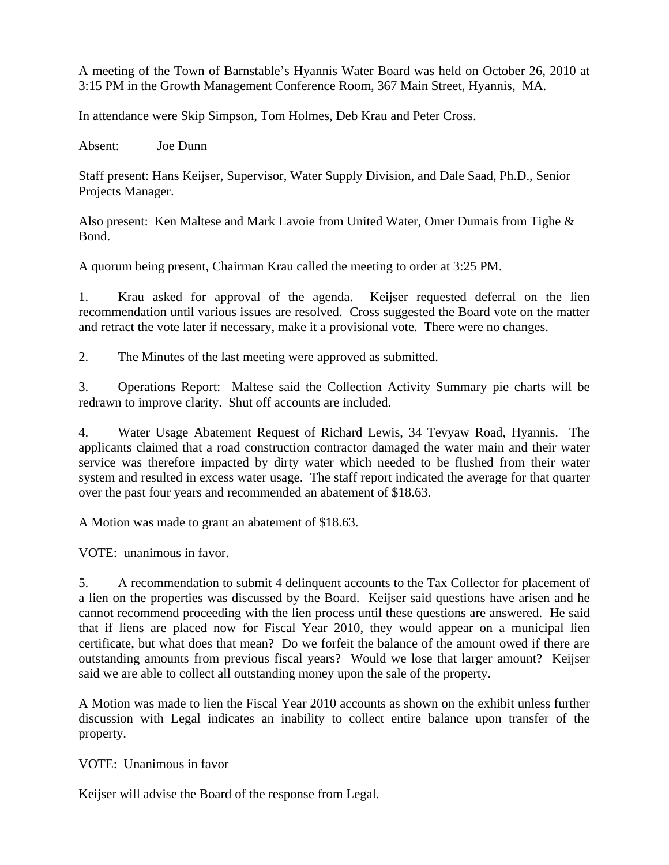A meeting of the Town of Barnstable's Hyannis Water Board was held on October 26, 2010 at 3:15 PM in the Growth Management Conference Room, 367 Main Street, Hyannis, MA.

In attendance were Skip Simpson, Tom Holmes, Deb Krau and Peter Cross.

Absent: Joe Dunn

Staff present: Hans Keijser, Supervisor, Water Supply Division, and Dale Saad, Ph.D., Senior Projects Manager.

Also present: Ken Maltese and Mark Lavoie from United Water, Omer Dumais from Tighe & Bond.

A quorum being present, Chairman Krau called the meeting to order at 3:25 PM.

1. Krau asked for approval of the agenda. Keijser requested deferral on the lien recommendation until various issues are resolved. Cross suggested the Board vote on the matter and retract the vote later if necessary, make it a provisional vote. There were no changes.

2. The Minutes of the last meeting were approved as submitted.

3. Operations Report: Maltese said the Collection Activity Summary pie charts will be redrawn to improve clarity. Shut off accounts are included.

4. Water Usage Abatement Request of Richard Lewis, 34 Tevyaw Road, Hyannis. The applicants claimed that a road construction contractor damaged the water main and their water service was therefore impacted by dirty water which needed to be flushed from their water system and resulted in excess water usage. The staff report indicated the average for that quarter over the past four years and recommended an abatement of \$18.63.

A Motion was made to grant an abatement of \$18.63.

VOTE: unanimous in favor.

5. A recommendation to submit 4 delinquent accounts to the Tax Collector for placement of a lien on the properties was discussed by the Board. Keijser said questions have arisen and he cannot recommend proceeding with the lien process until these questions are answered. He said that if liens are placed now for Fiscal Year 2010, they would appear on a municipal lien certificate, but what does that mean? Do we forfeit the balance of the amount owed if there are outstanding amounts from previous fiscal years? Would we lose that larger amount? Keijser said we are able to collect all outstanding money upon the sale of the property.

A Motion was made to lien the Fiscal Year 2010 accounts as shown on the exhibit unless further discussion with Legal indicates an inability to collect entire balance upon transfer of the property.

VOTE: Unanimous in favor

Keijser will advise the Board of the response from Legal.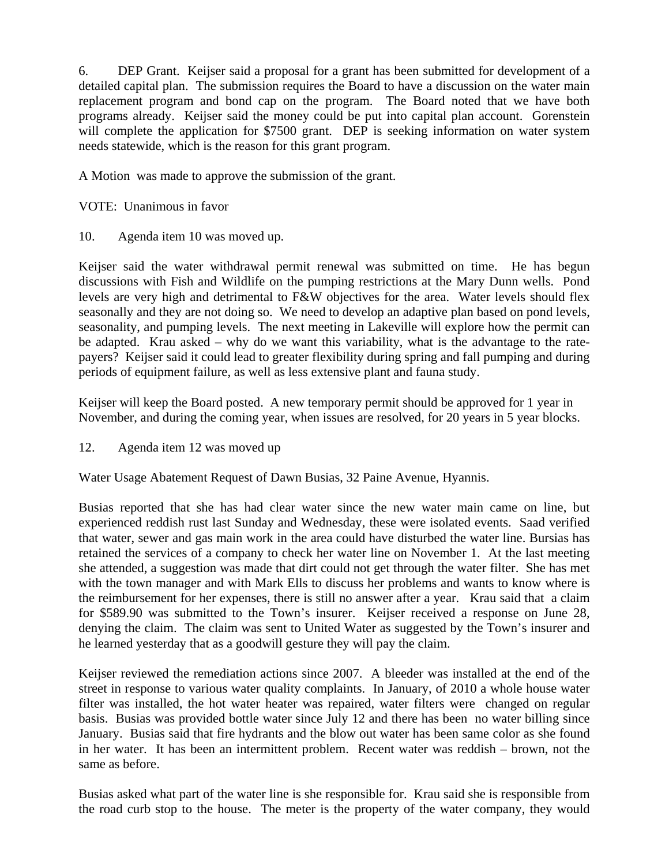6. DEP Grant. Keijser said a proposal for a grant has been submitted for development of a detailed capital plan. The submission requires the Board to have a discussion on the water main replacement program and bond cap on the program. The Board noted that we have both programs already. Keijser said the money could be put into capital plan account. Gorenstein will complete the application for \$7500 grant. DEP is seeking information on water system needs statewide, which is the reason for this grant program.

A Motion was made to approve the submission of the grant.

VOTE: Unanimous in favor

10. Agenda item 10 was moved up.

Keijser said the water withdrawal permit renewal was submitted on time. He has begun discussions with Fish and Wildlife on the pumping restrictions at the Mary Dunn wells. Pond levels are very high and detrimental to F&W objectives for the area. Water levels should flex seasonally and they are not doing so. We need to develop an adaptive plan based on pond levels, seasonality, and pumping levels. The next meeting in Lakeville will explore how the permit can be adapted. Krau asked – why do we want this variability, what is the advantage to the ratepayers? Keijser said it could lead to greater flexibility during spring and fall pumping and during periods of equipment failure, as well as less extensive plant and fauna study.

Keijser will keep the Board posted. A new temporary permit should be approved for 1 year in November, and during the coming year, when issues are resolved, for 20 years in 5 year blocks.

12. Agenda item 12 was moved up

Water Usage Abatement Request of Dawn Busias, 32 Paine Avenue, Hyannis.

Busias reported that she has had clear water since the new water main came on line, but experienced reddish rust last Sunday and Wednesday, these were isolated events. Saad verified that water, sewer and gas main work in the area could have disturbed the water line. Bursias has retained the services of a company to check her water line on November 1. At the last meeting she attended, a suggestion was made that dirt could not get through the water filter. She has met with the town manager and with Mark Ells to discuss her problems and wants to know where is the reimbursement for her expenses, there is still no answer after a year. Krau said that a claim for \$589.90 was submitted to the Town's insurer. Keijser received a response on June 28, denying the claim. The claim was sent to United Water as suggested by the Town's insurer and he learned yesterday that as a goodwill gesture they will pay the claim.

Keijser reviewed the remediation actions since 2007. A bleeder was installed at the end of the street in response to various water quality complaints. In January, of 2010 a whole house water filter was installed, the hot water heater was repaired, water filters were changed on regular basis. Busias was provided bottle water since July 12 and there has been no water billing since January. Busias said that fire hydrants and the blow out water has been same color as she found in her water. It has been an intermittent problem. Recent water was reddish – brown, not the same as before.

Busias asked what part of the water line is she responsible for. Krau said she is responsible from the road curb stop to the house. The meter is the property of the water company, they would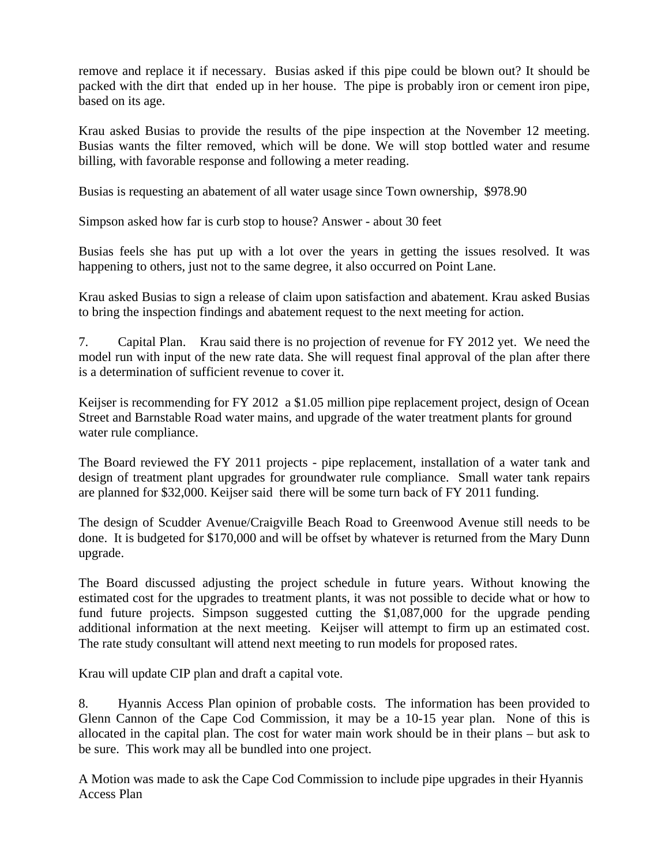remove and replace it if necessary. Busias asked if this pipe could be blown out? It should be packed with the dirt that ended up in her house. The pipe is probably iron or cement iron pipe, based on its age.

Krau asked Busias to provide the results of the pipe inspection at the November 12 meeting. Busias wants the filter removed, which will be done. We will stop bottled water and resume billing, with favorable response and following a meter reading.

Busias is requesting an abatement of all water usage since Town ownership, \$978.90

Simpson asked how far is curb stop to house? Answer - about 30 feet

Busias feels she has put up with a lot over the years in getting the issues resolved. It was happening to others, just not to the same degree, it also occurred on Point Lane.

Krau asked Busias to sign a release of claim upon satisfaction and abatement. Krau asked Busias to bring the inspection findings and abatement request to the next meeting for action.

7. Capital Plan. Krau said there is no projection of revenue for FY 2012 yet. We need the model run with input of the new rate data. She will request final approval of the plan after there is a determination of sufficient revenue to cover it.

Keijser is recommending for FY 2012 a \$1.05 million pipe replacement project, design of Ocean Street and Barnstable Road water mains, and upgrade of the water treatment plants for ground water rule compliance.

The Board reviewed the FY 2011 projects - pipe replacement, installation of a water tank and design of treatment plant upgrades for groundwater rule compliance. Small water tank repairs are planned for \$32,000. Keijser said there will be some turn back of FY 2011 funding.

The design of Scudder Avenue/Craigville Beach Road to Greenwood Avenue still needs to be done. It is budgeted for \$170,000 and will be offset by whatever is returned from the Mary Dunn upgrade.

The Board discussed adjusting the project schedule in future years. Without knowing the estimated cost for the upgrades to treatment plants, it was not possible to decide what or how to fund future projects. Simpson suggested cutting the \$1,087,000 for the upgrade pending additional information at the next meeting. Keijser will attempt to firm up an estimated cost. The rate study consultant will attend next meeting to run models for proposed rates.

Krau will update CIP plan and draft a capital vote.

8. Hyannis Access Plan opinion of probable costs. The information has been provided to Glenn Cannon of the Cape Cod Commission, it may be a 10-15 year plan. None of this is allocated in the capital plan. The cost for water main work should be in their plans – but ask to be sure. This work may all be bundled into one project.

A Motion was made to ask the Cape Cod Commission to include pipe upgrades in their Hyannis Access Plan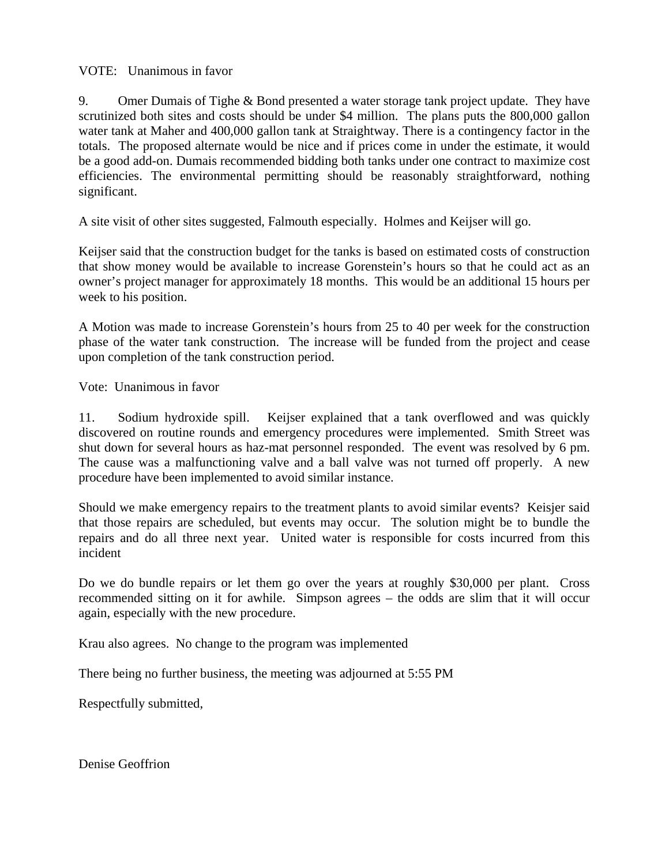VOTE: Unanimous in favor

9. Omer Dumais of Tighe & Bond presented a water storage tank project update. They have scrutinized both sites and costs should be under \$4 million. The plans puts the 800,000 gallon water tank at Maher and 400,000 gallon tank at Straightway. There is a contingency factor in the totals. The proposed alternate would be nice and if prices come in under the estimate, it would be a good add-on. Dumais recommended bidding both tanks under one contract to maximize cost efficiencies. The environmental permitting should be reasonably straightforward, nothing significant.

A site visit of other sites suggested, Falmouth especially. Holmes and Keijser will go.

Keijser said that the construction budget for the tanks is based on estimated costs of construction that show money would be available to increase Gorenstein's hours so that he could act as an owner's project manager for approximately 18 months. This would be an additional 15 hours per week to his position.

A Motion was made to increase Gorenstein's hours from 25 to 40 per week for the construction phase of the water tank construction. The increase will be funded from the project and cease upon completion of the tank construction period.

Vote: Unanimous in favor

11. Sodium hydroxide spill. Keijser explained that a tank overflowed and was quickly discovered on routine rounds and emergency procedures were implemented. Smith Street was shut down for several hours as haz-mat personnel responded. The event was resolved by 6 pm. The cause was a malfunctioning valve and a ball valve was not turned off properly. A new procedure have been implemented to avoid similar instance.

Should we make emergency repairs to the treatment plants to avoid similar events? Keisjer said that those repairs are scheduled, but events may occur. The solution might be to bundle the repairs and do all three next year. United water is responsible for costs incurred from this incident

Do we do bundle repairs or let them go over the years at roughly \$30,000 per plant. Cross recommended sitting on it for awhile. Simpson agrees – the odds are slim that it will occur again, especially with the new procedure.

Krau also agrees. No change to the program was implemented

There being no further business, the meeting was adjourned at 5:55 PM

Respectfully submitted,

Denise Geoffrion